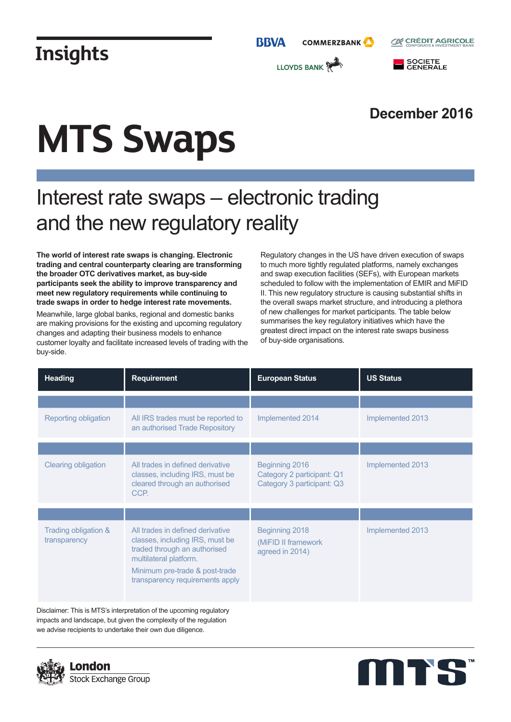

### **December 2016**

# **MTS Swaps**

### Interest rate swaps – electronic trading and the new regulatory reality

**The world of interest rate swaps is changing. Electronic trading and central counterparty clearing are transforming the broader OTC derivatives market, as buy-side participants seek the ability to improve transparency and meet new regulatory requirements while continuing to trade swaps in order to hedge interest rate movements.**

Meanwhile, large global banks, regional and domestic banks are making provisions for the existing and upcoming regulatory changes and adapting their business models to enhance customer loyalty and facilitate increased levels of trading with the buy-side.

Regulatory changes in the US have driven execution of swaps to much more tightly regulated platforms, namely exchanges and swap execution facilities (SEFs), with European markets scheduled to follow with the implementation of EMIR and MiFID II. This new regulatory structure is causing substantial shifts in the overall swaps market structure, and introducing a plethora of new challenges for market participants. The table below summarises the key regulatory initiatives which have the greatest direct impact on the interest rate swaps business of buy-side organisations.

| <b>Heading</b>                                                      | <b>Requirement</b>                                                                                                                                                                                 | <b>European Status</b>                                                     | <b>US Status</b> |
|---------------------------------------------------------------------|----------------------------------------------------------------------------------------------------------------------------------------------------------------------------------------------------|----------------------------------------------------------------------------|------------------|
|                                                                     |                                                                                                                                                                                                    |                                                                            |                  |
| Reporting obligation                                                | All IRS trades must be reported to<br>an authorised Trade Repository                                                                                                                               | Implemented 2014                                                           | Implemented 2013 |
|                                                                     |                                                                                                                                                                                                    |                                                                            |                  |
| <b>Clearing obligation</b>                                          | All trades in defined derivative<br>classes, including IRS, must be<br>cleared through an authorised<br>CCP.                                                                                       | Beginning 2016<br>Category 2 participant: Q1<br>Category 3 participant: Q3 | Implemented 2013 |
|                                                                     |                                                                                                                                                                                                    |                                                                            |                  |
| Trading obligation &<br>transparency                                | All trades in defined derivative<br>classes, including IRS, must be<br>traded through an authorised<br>multilateral platform.<br>Minimum pre-trade & post-trade<br>transparency requirements apply | Beginning 2018<br>(MiFID II framework<br>agreed in 2014)                   | Implemented 2013 |
| Disclaimer: This is MTS's interpretation of the uncoming regulatory |                                                                                                                                                                                                    |                                                                            |                  |

 $\mathop{\rm a}\nolimits$ imer: This is MTS's interpretation of the upcoming regulatory impacts and landscape, but given the complexity of the regulation we advise recipients to undertake their own due diligence.



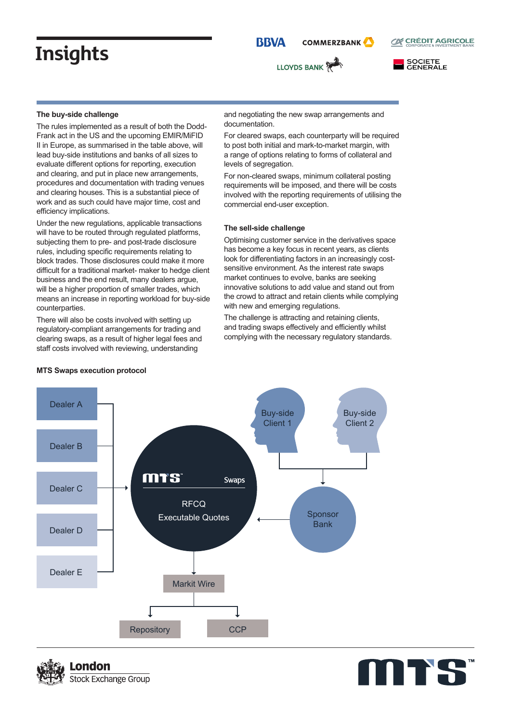**BBVA COMMERZBANK** 







#### **The buy-side challenge**

The rules implemented as a result of both the Dodd-Frank act in the US and the upcoming EMIR/MiFID II in Europe, as summarised in the table above, will lead buy-side institutions and banks of all sizes to evaluate different options for reporting, execution and clearing, and put in place new arrangements, procedures and documentation with trading venues and clearing houses. This is a substantial piece of work and as such could have major time, cost and efficiency implications.

Under the new regulations, applicable transactions will have to be routed through regulated platforms, subjecting them to pre- and post-trade disclosure rules, including specific requirements relating to block trades. Those disclosures could make it more difficult for a traditional market- maker to hedge client business and the end result, many dealers argue, will be a higher proportion of smaller trades, which means an increase in reporting workload for buy-side counterparties.

There will also be costs involved with setting up regulatory-compliant arrangements for trading and clearing swaps, as a result of higher legal fees and staff costs involved with reviewing, understanding

and negotiating the new swap arrangements and documentation.

For cleared swaps, each counterparty will be required to post both initial and mark-to-market margin, with a range of options relating to forms of collateral and levels of segregation.

For non-cleared swaps, minimum collateral posting requirements will be imposed, and there will be costs involved with the reporting requirements of utilising the commercial end-user exception.

#### **The sell-side challenge**

Optimising customer service in the derivatives space has become a key focus in recent years, as clients look for differentiating factors in an increasingly costsensitive environment. As the interest rate swaps market continues to evolve, banks are seeking innovative solutions to add value and stand out from the crowd to attract and retain clients while complying with new and emerging regulations.

The challenge is attracting and retaining clients, and trading swaps effectively and efficiently whilst complying with the necessary regulatory standards.



#### **MTS Swaps execution protocol**



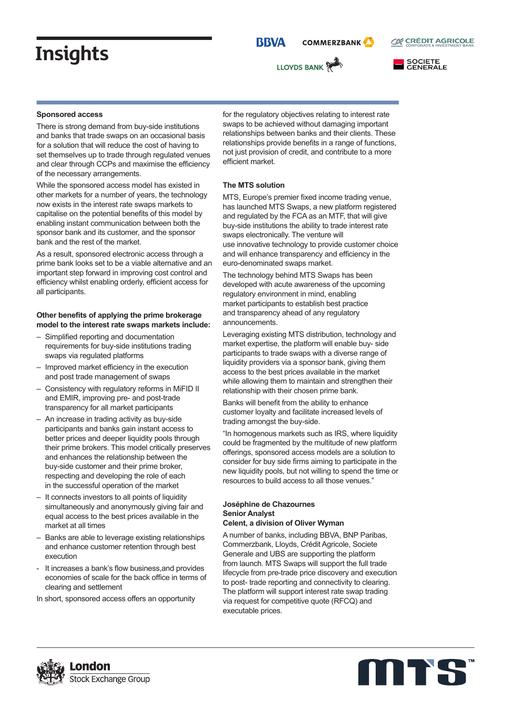**BBVA COMMERZBANK** 

LLOYDS BANK





#### **Sponsored access**

There is strong demand from buy-side institutions and banks that trade swaps on an occasional basis for a solution that will reduce the cost of having to set themselves up to trade through regulated venues and clear through CCPs and maximise the efficiency of the necessary arrangements.

While the sponsored access model has existed in other markets for a number of years, the technology now exists in the interest rate swaps markets to capitalise on the potential benefits of this model by enabling instant communication between both the sponsor bank and its customer, and the sponsor bank and the rest of the market.

As a result, sponsored electronic access through a prime bank looks set to be a viable alternative and an important step forward in improving cost control and efficiency whilst enabling orderly, efficient access for all participants.

#### **Other benefits of applying the prime brokerage model to the interest rate swaps markets include:**

- Simplified reporting and documentation requirements for buy-side institutions trading swaps via regulated platforms
- Improved market efficiency in the execution and post trade management of swaps
- Consistency with regulatory reforms in MiFID II and EMIR, improving pre- and post-trade transparency for all market participants
- An increase in trading activity as buy-side participants and banks gain instant access to better prices and deeper liquidity pools through their prime brokers. This model critically preserves and enhances the relationship between the buy-side customer and their prime broker, respecting and developing the role of each in the successful operation of the market
- It connects investors to all points of liquidity simultaneously and anonymously giving fair and equal access to the best prices available in the market at all times
- Banks are able to leverage existing relationships and enhance customer retention through best execution
- It increases a bank's flow business, and provides economies of scale for the back office in terms of clearing and settlement
- In short, sponsored access offers an opportunity

for the regulatory objectives relating to interest rate swaps to be achieved without damaging important relationships between banks and their clients. These relationships provide benefits in a range of functions, not just provision of credit, and contribute to a more efficient market.

#### **The MTS solution**

MTS, Europe's premier fixed income trading venue, has launched MTS Swaps, a new platform registered and regulated by the FCA as an MTF, that will give buy-side institutions the ability to trade interest rate swaps electronically. The venture will use innovative technology to provide customer choice and will enhance transparency and efficiency in the euro-denominated swaps market.

The technology behind MTS Swaps has been developed with acute awareness of the upcoming regulatory environment in mind, enabling market participants to establish best practice and transparency ahead of any regulatory announcements.

Leveraging existing MTS distribution, technology and market expertise, the platform will enable buy- side participants to trade swaps with a diverse range of liquidity providers via a sponsor bank, giving them access to the best prices available in the market while allowing them to maintain and strengthen their relationship with their chosen prime bank.

Banks will benefit from the ability to enhance customer loyalty and facilitate increased levels of trading amongst the buy-side.

"In homogenous markets such as IRS, where liquidity could be fragmented by the multitude of new platform offerings, sponsored access models are a solution to consider for buy side firms aiming to participate in the new liquidity pools, but not willing to spend the time or resources to build access to all those venues."

#### **Joséphine de Chazournes Senior Analyst Celent, a division of Oliver Wyman**

A number of banks, including BBVA, BNP Paribas, Commerzbank, Lloyds, Crédit Agricole, Societe Generale and UBS are supporting the platform from launch. MTS Swaps will support the full trade lifecycle from pre-trade price discovery and execution to post- trade reporting and connectivity to clearing. The platform will support interest rate swap trading via request for competitive quote (RFCQ) and executable prices.